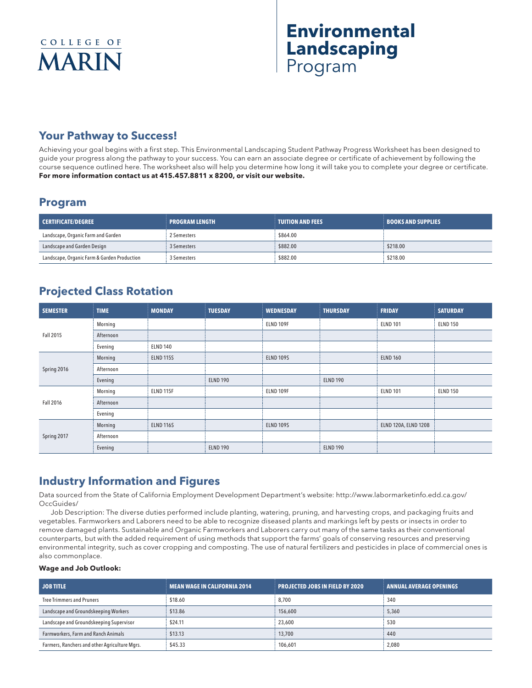# **Environmental Landscaping** Program

# **Your Pathway to Success!**

Achieving your goal begins with a first step. This Environmental Landscaping Student Pathway Progress Worksheet has been designed to guide your progress along the pathway to your success. You can earn an associate degree or certificate of achievement by following the course sequence outlined here. The worksheet also will help you determine how long it will take you to complete your degree or certificate. **For more information contact us at 415.457.8811 x 8200, or visit our website.** 

### **Program**

| <b>CERTIFICATE/DEGREE</b>                   | <b>I PROGRAM LENGTH</b> | <b>TUITION AND FEES</b> | <b>BOOKS AND SUPPLIES</b> |
|---------------------------------------------|-------------------------|-------------------------|---------------------------|
| Landscape, Organic Farm and Garden          | 2 Semesters             | \$864.00                |                           |
| Landscape and Garden Design                 | 3 Semesters             | \$882.00                | \$218.00                  |
| Landscape, Organic Farm & Garden Production | 3 Semesters             | \$882.00                | \$218.00                  |

## **Projected Class Rotation**

| <b>SEMESTER</b> | <b>TIME</b> | <b>MONDAY</b>    | <b>TUESDAY</b>  | <b>WEDNESDAY</b> | <b>THURSDAY</b> | <b>FRIDAY</b>               | <b>SATURDAY</b> |
|-----------------|-------------|------------------|-----------------|------------------|-----------------|-----------------------------|-----------------|
| Fall 2015       | Morning     |                  |                 | ELND 109F        |                 | <b>ELND 101</b>             | <b>ELND 150</b> |
|                 | Afternoon   |                  |                 |                  |                 |                             |                 |
|                 | Evening     | <b>ELND 140</b>  |                 |                  |                 |                             |                 |
| Spring 2016     | Morning     | <b>ELND 115S</b> |                 | <b>ELND 109S</b> |                 | <b>ELND 160</b>             |                 |
|                 | Afternoon   |                  |                 |                  |                 |                             |                 |
|                 | Evening     |                  | <b>ELND 190</b> |                  | <b>ELND 190</b> |                             |                 |
| Fall 2016       | Morning     | ELND 115F        |                 | ELND 109F        |                 | <b>ELND 101</b>             | <b>ELND 150</b> |
|                 | Afternoon   |                  |                 |                  |                 |                             |                 |
|                 | Evening     |                  |                 |                  |                 |                             |                 |
| Spring 2017     | Morning     | <b>ELND 116S</b> |                 | <b>ELND 109S</b> |                 | <b>ELND 120A, ELND 120B</b> |                 |
|                 | Afternoon   |                  |                 |                  |                 |                             |                 |
|                 | Evening     |                  | <b>ELND 190</b> |                  | <b>ELND 190</b> |                             |                 |

### **Industry Information and Figures**

Data sourced from the State of California Employment Development Department's website: http://www.labormarketinfo.edd.ca.gov/ OccGuides/

Job Description: The diverse duties performed include planting, watering, pruning, and harvesting crops, and packaging fruits and vegetables. Farmworkers and Laborers need to be able to recognize diseased plants and markings left by pests or insects in order to remove damaged plants. Sustainable and Organic Farmworkers and Laborers carry out many of the same tasks as their conventional counterparts, but with the added requirement of using methods that support the farms' goals of conserving resources and preserving environmental integrity, such as cover cropping and composting. The use of natural fertilizers and pesticides in place of commercial ones is also commonplace.

#### **Wage and Job Outlook:**

| <b>JOB TITLE</b>                              | <b>MEAN WAGE IN CALIFORNIA 2014</b> | <b>PROJECTED JOBS IN FIELD BY 2020</b> | <b>ANNUAL AVERAGE OPENINGS</b> |
|-----------------------------------------------|-------------------------------------|----------------------------------------|--------------------------------|
| <b>Tree Trimmers and Pruners</b>              | \$18.60                             | 8,700                                  | 340                            |
| Landscape and Groundskeeping Workers          | \$13.86                             | 156,600                                | 5,360                          |
| Landscape and Groundskeeping Supervisor       | \$24.11                             | 23,600                                 | 530                            |
| Farmworkers, Farm and Ranch Animals           | \$13.13                             | 13,700                                 | 440                            |
| Farmers, Ranchers and other Agriculture Mgrs. | \$45.33                             | 106.601                                | 2,080                          |